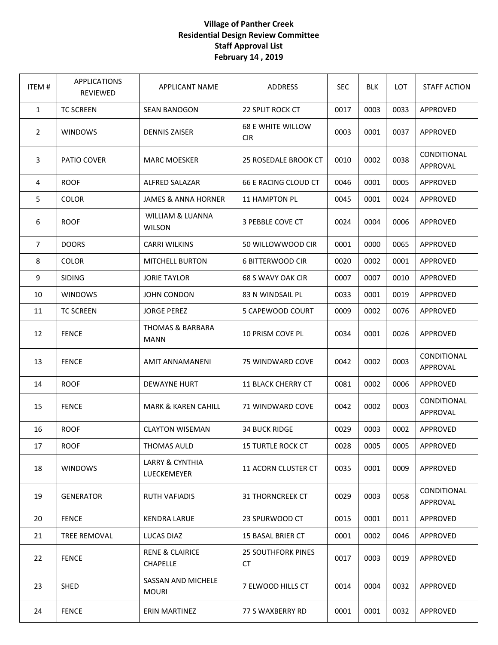## **Village of Panther Creek Residential Design Review Committee Staff Approval List February 14 , 2019**

| ITEM#          | <b>APPLICATIONS</b><br><b>REVIEWED</b> | <b>APPLICANT NAME</b>                        | ADDRESS                                | <b>SEC</b> | <b>BLK</b> | <b>LOT</b> | <b>STAFF ACTION</b>            |
|----------------|----------------------------------------|----------------------------------------------|----------------------------------------|------------|------------|------------|--------------------------------|
| $\mathbf{1}$   | <b>TC SCREEN</b>                       | <b>SEAN BANOGON</b>                          | 22 SPLIT ROCK CT                       | 0017       | 0003       | 0033       | APPROVED                       |
| $\overline{2}$ | <b>WINDOWS</b>                         | <b>DENNIS ZAISER</b>                         | <b>68 E WHITE WILLOW</b><br><b>CIR</b> | 0003       | 0001       | 0037       | <b>APPROVED</b>                |
| 3              | PATIO COVER                            | <b>MARC MOESKER</b>                          | <b>25 ROSEDALE BROOK CT</b>            | 0010       | 0002       | 0038       | <b>CONDITIONAL</b><br>APPROVAL |
| 4              | <b>ROOF</b>                            | <b>ALFRED SALAZAR</b>                        | 66 E RACING CLOUD CT                   | 0046       | 0001       | 0005       | APPROVED                       |
| 5              | <b>COLOR</b>                           | <b>JAMES &amp; ANNA HORNER</b>               | <b>11 HAMPTON PL</b>                   | 0045       | 0001       | 0024       | APPROVED                       |
| 6              | <b>ROOF</b>                            | <b>WILLIAM &amp; LUANNA</b><br><b>WILSON</b> | 3 PEBBLE COVE CT                       | 0024       | 0004       | 0006       | APPROVED                       |
| $\overline{7}$ | <b>DOORS</b>                           | <b>CARRI WILKINS</b>                         | 50 WILLOWWOOD CIR                      | 0001       | 0000       | 0065       | APPROVED                       |
| 8              | <b>COLOR</b>                           | <b>MITCHELL BURTON</b>                       | <b>6 BITTERWOOD CIR</b>                | 0020       | 0002       | 0001       | APPROVED                       |
| 9              | <b>SIDING</b>                          | <b>JORIE TAYLOR</b>                          | 68 S WAVY OAK CIR                      | 0007       | 0007       | 0010       | APPROVED                       |
| 10             | <b>WINDOWS</b>                         | <b>JOHN CONDON</b>                           | 83 N WINDSAIL PL                       | 0033       | 0001       | 0019       | APPROVED                       |
| 11             | <b>TC SCREEN</b>                       | <b>JORGE PEREZ</b>                           | 5 CAPEWOOD COURT                       | 0009       | 0002       | 0076       | APPROVED                       |
| 12             | <b>FENCE</b>                           | <b>THOMAS &amp; BARBARA</b><br><b>MANN</b>   | 10 PRISM COVE PL                       | 0034       | 0001       | 0026       | APPROVED                       |
| 13             | <b>FENCE</b>                           | AMIT ANNAMANENI                              | 75 WINDWARD COVE                       | 0042       | 0002       | 0003       | CONDITIONAL<br>APPROVAL        |
| 14             | <b>ROOF</b>                            | <b>DEWAYNE HURT</b>                          | <b>11 BLACK CHERRY CT</b>              | 0081       | 0002       | 0006       | APPROVED                       |
| 15             | <b>FENCE</b>                           | <b>MARK &amp; KAREN CAHILL</b>               | 71 WINDWARD COVE                       | 0042       | 0002       | 0003       | CONDITIONAL<br>APPROVAL        |
| 16             | <b>ROOF</b>                            | <b>CLAYTON WISEMAN</b>                       | <b>34 BUCK RIDGE</b>                   | 0029       | 0003       | 0002       | APPROVED                       |
| 17             | <b>ROOF</b>                            | THOMAS AULD                                  | <b>15 TURTLE ROCK CT</b>               | 0028       | 0005       | 0005       | APPROVED                       |
| 18             | <b>WINDOWS</b>                         | LARRY & CYNTHIA<br>LUECKEMEYER               | 11 ACORN CLUSTER CT                    | 0035       | 0001       | 0009       | APPROVED                       |
| 19             | <b>GENERATOR</b>                       | <b>RUTH VAFIADIS</b>                         | <b>31 THORNCREEK CT</b>                | 0029       | 0003       | 0058       | CONDITIONAL<br>APPROVAL        |
| 20             | <b>FENCE</b>                           | <b>KENDRA LARUE</b>                          | 23 SPURWOOD CT                         | 0015       | 0001       | 0011       | APPROVED                       |
| 21             | TREE REMOVAL                           | LUCAS DIAZ                                   | <b>15 BASAL BRIER CT</b>               | 0001       | 0002       | 0046       | APPROVED                       |
| 22             | <b>FENCE</b>                           | <b>RENE &amp; CLAIRICE</b><br>CHAPELLE       | <b>25 SOUTHFORK PINES</b><br><b>CT</b> | 0017       | 0003       | 0019       | APPROVED                       |
| 23             | <b>SHED</b>                            | SASSAN AND MICHELE<br><b>MOURI</b>           | 7 ELWOOD HILLS CT                      | 0014       | 0004       | 0032       | APPROVED                       |
| 24             | <b>FENCE</b>                           | ERIN MARTINEZ                                | 77 S WAXBERRY RD                       | 0001       | 0001       | 0032       | APPROVED                       |